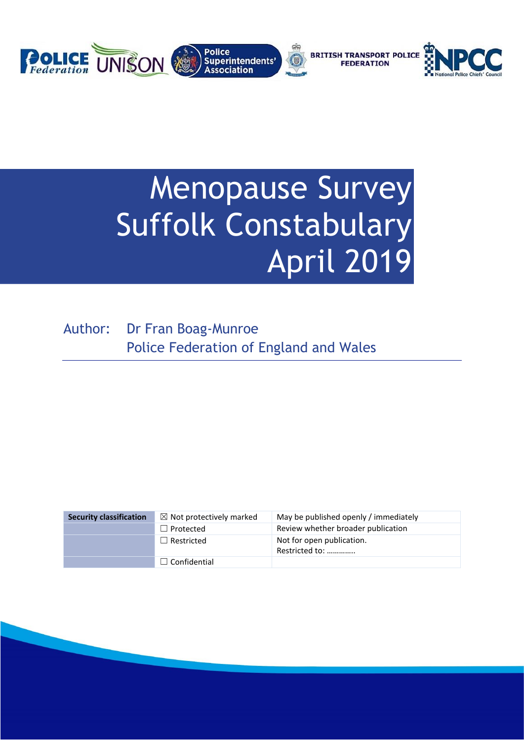

# Menopause Survey Suffolk Constabulary April 2019

Author: Dr Fran Boag-Munroe Police Federation of England and Wales

| <b>Security classification</b> | $\boxtimes$ Not protectively marked | May be published openly / immediately       |
|--------------------------------|-------------------------------------|---------------------------------------------|
|                                | $\Box$ Protected                    | Review whether broader publication          |
|                                | $\Box$ Restricted                   | Not for open publication.<br>Restricted to: |
|                                | $\Box$ Confidential                 |                                             |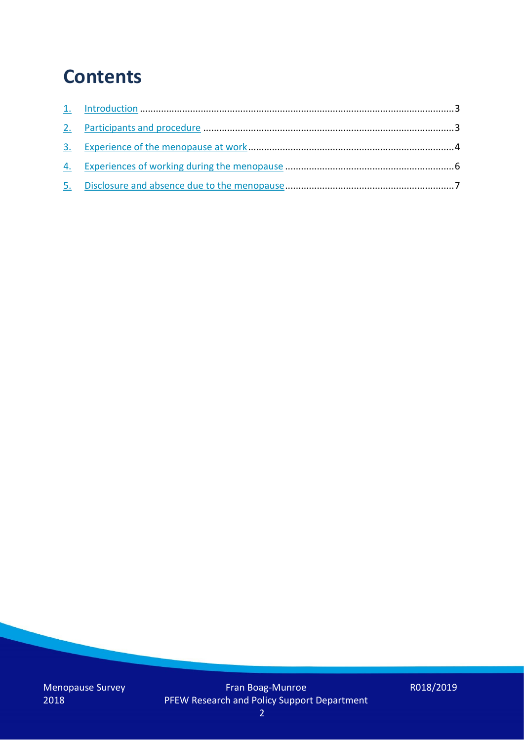## **Contents**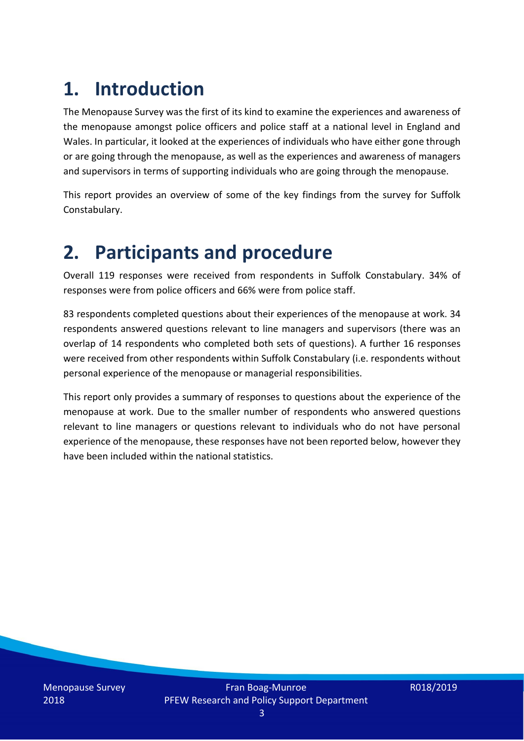# **1. Introduction**

The Menopause Survey was the first of its kind to examine the experiences and awareness of the menopause amongst police officers and police staff at a national level in England and Wales. In particular, it looked at the experiences of individuals who have either gone through or are going through the menopause, as well as the experiences and awareness of managers and supervisors in terms of supporting individuals who are going through the menopause.

This report provides an overview of some of the key findings from the survey for Suffolk Constabulary.

### **2. Participants and procedure**

Overall 119 responses were received from respondents in Suffolk Constabulary. 34% of responses were from police officers and 66% were from police staff.

83 respondents completed questions about their experiences of the menopause at work. 34 respondents answered questions relevant to line managers and supervisors (there was an overlap of 14 respondents who completed both sets of questions). A further 16 responses were received from other respondents within Suffolk Constabulary (i.e. respondents without personal experience of the menopause or managerial responsibilities.

This report only provides a summary of responses to questions about the experience of the menopause at work. Due to the smaller number of respondents who answered questions relevant to line managers or questions relevant to individuals who do not have personal experience of the menopause, these responses have not been reported below, however they have been included within the national statistics.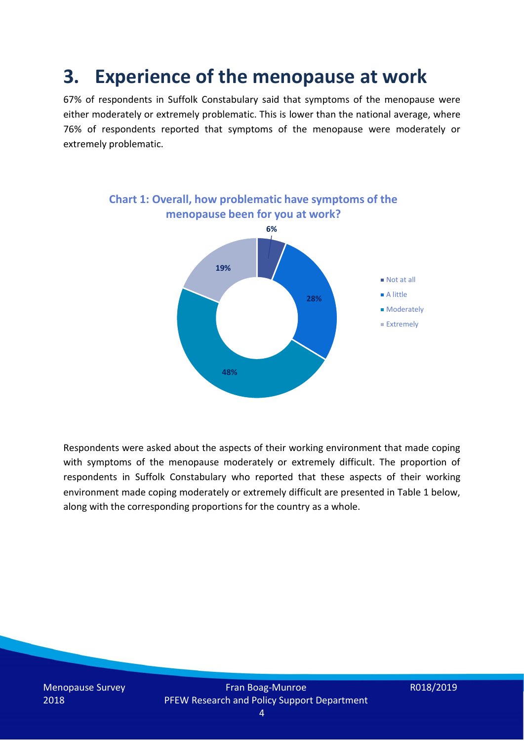### **3. Experience of the menopause at work**

67% of respondents in Suffolk Constabulary said that symptoms of the menopause were either moderately or extremely problematic. This is lower than the national average, where 76% of respondents reported that symptoms of the menopause were moderately or extremely problematic.



Respondents were asked about the aspects of their working environment that made coping with symptoms of the menopause moderately or extremely difficult. The proportion of respondents in Suffolk Constabulary who reported that these aspects of their working environment made coping moderately or extremely difficult are presented in Table 1 below, along with the corresponding proportions for the country as a whole.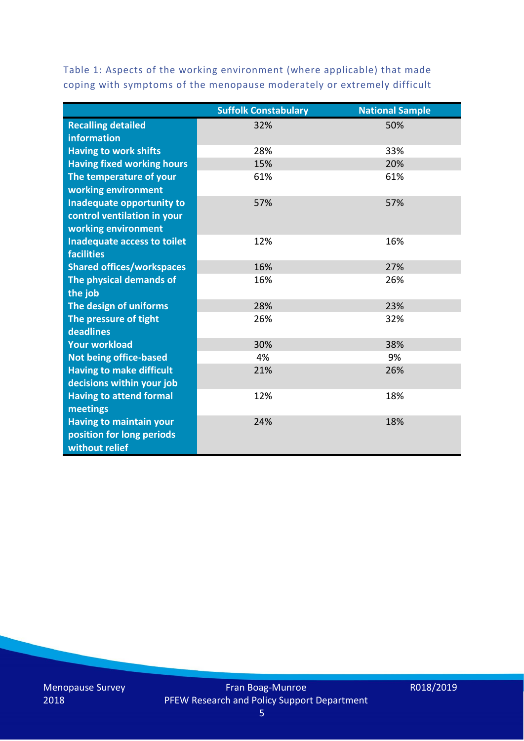Table 1: Aspects of the working environment (where applicable) that made coping with symptoms of the menopause moderately or extremely difficult

|                                   | <b>Suffolk Constabulary</b> | <b>National Sample</b> |
|-----------------------------------|-----------------------------|------------------------|
| <b>Recalling detailed</b>         | 32%                         | 50%                    |
| information                       |                             |                        |
| <b>Having to work shifts</b>      | 28%                         | 33%                    |
| <b>Having fixed working hours</b> | 15%                         | 20%                    |
| The temperature of your           | 61%                         | 61%                    |
| working environment               |                             |                        |
| Inadequate opportunity to         | 57%                         | 57%                    |
| control ventilation in your       |                             |                        |
| working environment               |                             |                        |
| Inadequate access to toilet       | 12%                         | 16%                    |
| <b>facilities</b>                 |                             |                        |
| <b>Shared offices/workspaces</b>  | 16%                         | 27%                    |
| The physical demands of           | 16%                         | 26%                    |
| the job                           |                             |                        |
| The design of uniforms            | 28%                         | 23%                    |
| The pressure of tight             | 26%                         | 32%                    |
| deadlines                         |                             |                        |
| <b>Your workload</b>              | 30%                         | 38%                    |
| <b>Not being office-based</b>     | 4%                          | 9%                     |
| <b>Having to make difficult</b>   | 21%                         | 26%                    |
| decisions within your job         |                             |                        |
| <b>Having to attend formal</b>    | 12%                         | 18%                    |
| meetings                          |                             |                        |
| <b>Having to maintain your</b>    | 24%                         | 18%                    |
| position for long periods         |                             |                        |
| without relief                    |                             |                        |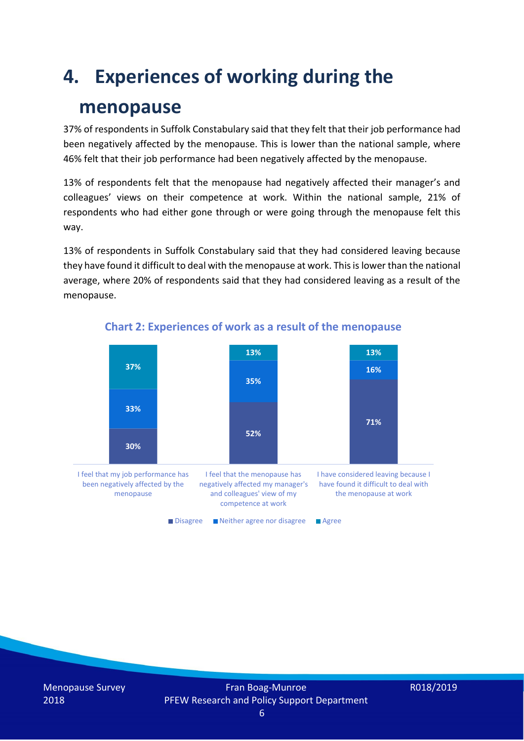## **4. Experiences of working during the**

### **menopause**

37% of respondents in Suffolk Constabulary said that they felt that their job performance had been negatively affected by the menopause. This is lower than the national sample, where 46% felt that their job performance had been negatively affected by the menopause.

13% of respondents felt that the menopause had negatively affected their manager's and colleagues' views on their competence at work. Within the national sample, 21% of respondents who had either gone through or were going through the menopause felt this way.

13% of respondents in Suffolk Constabulary said that they had considered leaving because they have found it difficult to deal with the menopause at work. This is lower than the national average, where 20% of respondents said that they had considered leaving as a result of the menopause.



#### **Chart 2: Experiences of work as a result of the menopause**